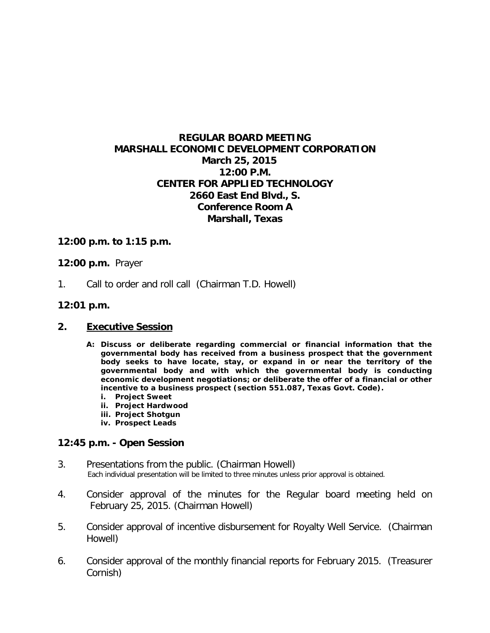# **REGULAR BOARD MEETING MARSHALL ECONOMIC DEVELOPMENT CORPORATION March 25, 2015 12:00 P.M. CENTER FOR APPLIED TECHNOLOGY 2660 East End Blvd., S. Conference Room A Marshall, Texas**

# **12:00 p.m. to 1:15 p.m.**

## **12:00 p.m.** Prayer

1. Call to order and roll call (Chairman T.D. Howell)

# **12:01 p.m.**

## **2. Executive Session**

- **A: Discuss or deliberate regarding commercial or financial information that the governmental body has received from a business prospect that the government body seeks to have locate, stay, or expand in or near the territory of the governmental body and with which the governmental body is conducting economic development negotiations; or deliberate the offer of a financial or other incentive to a business prospect (section 551.087, Texas Govt. Code).**
	- **i. Project Sweet**
	- **ii. Project Hardwood**
	- **iii. Project Shotgun**
	- **iv. Prospect Leads**

## **12:45 p.m. - Open Session**

- 3. Presentations from the public. (Chairman Howell)<br>Each individual presentation will be limited to three minutes unless prior approval is obtained.
- 4. Consider approval of the minutes for the Regular board meeting held on February 25, 2015. (Chairman Howell)
- 5. Consider approval of incentive disbursement for Royalty Well Service. (Chairman Howell)
- 6. Consider approval of the monthly financial reports for February 2015. (Treasurer Cornish)